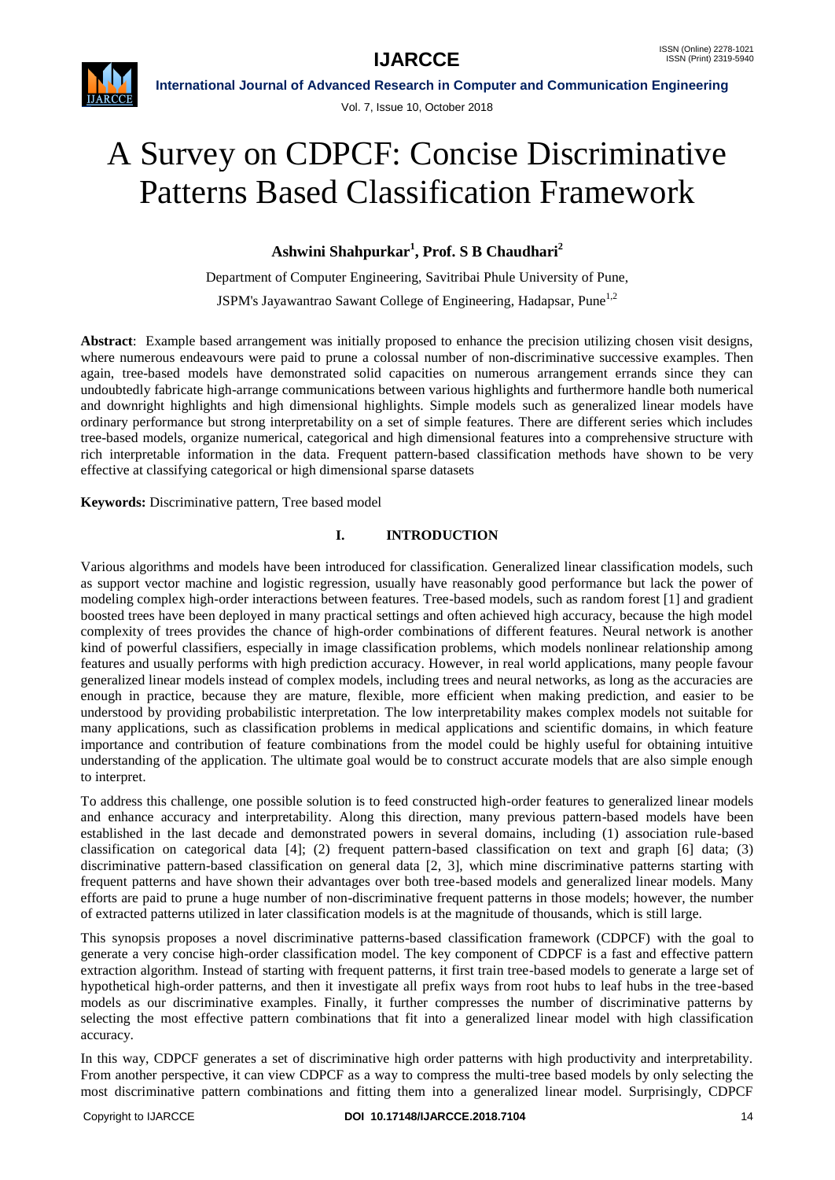

Vol. 7, Issue 10, October 2018

# A Survey on CDPCF: Concise Discriminative Patterns Based Classification Framework

**Ashwini Shahpurkar<sup>1</sup> , Prof. S B Chaudhari<sup>2</sup>**

Department of Computer Engineering, Savitribai Phule University of Pune,

JSPM's Jayawantrao Sawant College of Engineering, Hadapsar, Pune<sup>1,2</sup>

**Abstract**: Example based arrangement was initially proposed to enhance the precision utilizing chosen visit designs, where numerous endeavours were paid to prune a colossal number of non-discriminative successive examples. Then again, tree-based models have demonstrated solid capacities on numerous arrangement errands since they can undoubtedly fabricate high-arrange communications between various highlights and furthermore handle both numerical and downright highlights and high dimensional highlights. Simple models such as generalized linear models have ordinary performance but strong interpretability on a set of simple features. There are different series which includes tree-based models, organize numerical, categorical and high dimensional features into a comprehensive structure with rich interpretable information in the data. Frequent pattern-based classification methods have shown to be very effective at classifying categorical or high dimensional sparse datasets

**Keywords:** Discriminative pattern, Tree based model

# **I. INTRODUCTION**

Various algorithms and models have been introduced for classification. Generalized linear classification models, such as support vector machine and logistic regression, usually have reasonably good performance but lack the power of modeling complex high-order interactions between features. Tree-based models, such as random forest [1] and gradient boosted trees have been deployed in many practical settings and often achieved high accuracy, because the high model complexity of trees provides the chance of high-order combinations of different features. Neural network is another kind of powerful classifiers, especially in image classification problems, which models nonlinear relationship among features and usually performs with high prediction accuracy. However, in real world applications, many people favour generalized linear models instead of complex models, including trees and neural networks, as long as the accuracies are enough in practice, because they are mature, flexible, more efficient when making prediction, and easier to be understood by providing probabilistic interpretation. The low interpretability makes complex models not suitable for many applications, such as classification problems in medical applications and scientific domains, in which feature importance and contribution of feature combinations from the model could be highly useful for obtaining intuitive understanding of the application. The ultimate goal would be to construct accurate models that are also simple enough to interpret.

To address this challenge, one possible solution is to feed constructed high-order features to generalized linear models and enhance accuracy and interpretability. Along this direction, many previous pattern-based models have been established in the last decade and demonstrated powers in several domains, including (1) association rule-based classification on categorical data [4]; (2) frequent pattern-based classification on text and graph [6] data; (3) discriminative pattern-based classification on general data [2, 3], which mine discriminative patterns starting with frequent patterns and have shown their advantages over both tree-based models and generalized linear models. Many efforts are paid to prune a huge number of non-discriminative frequent patterns in those models; however, the number of extracted patterns utilized in later classification models is at the magnitude of thousands, which is still large.

This synopsis proposes a novel discriminative patterns-based classification framework (CDPCF) with the goal to generate a very concise high-order classification model. The key component of CDPCF is a fast and effective pattern extraction algorithm. Instead of starting with frequent patterns, it first train tree-based models to generate a large set of hypothetical high-order patterns, and then it investigate all prefix ways from root hubs to leaf hubs in the tree-based models as our discriminative examples. Finally, it further compresses the number of discriminative patterns by selecting the most effective pattern combinations that fit into a generalized linear model with high classification accuracy.

In this way, CDPCF generates a set of discriminative high order patterns with high productivity and interpretability. From another perspective, it can view CDPCF as a way to compress the multi-tree based models by only selecting the most discriminative pattern combinations and fitting them into a generalized linear model. Surprisingly, CDPCF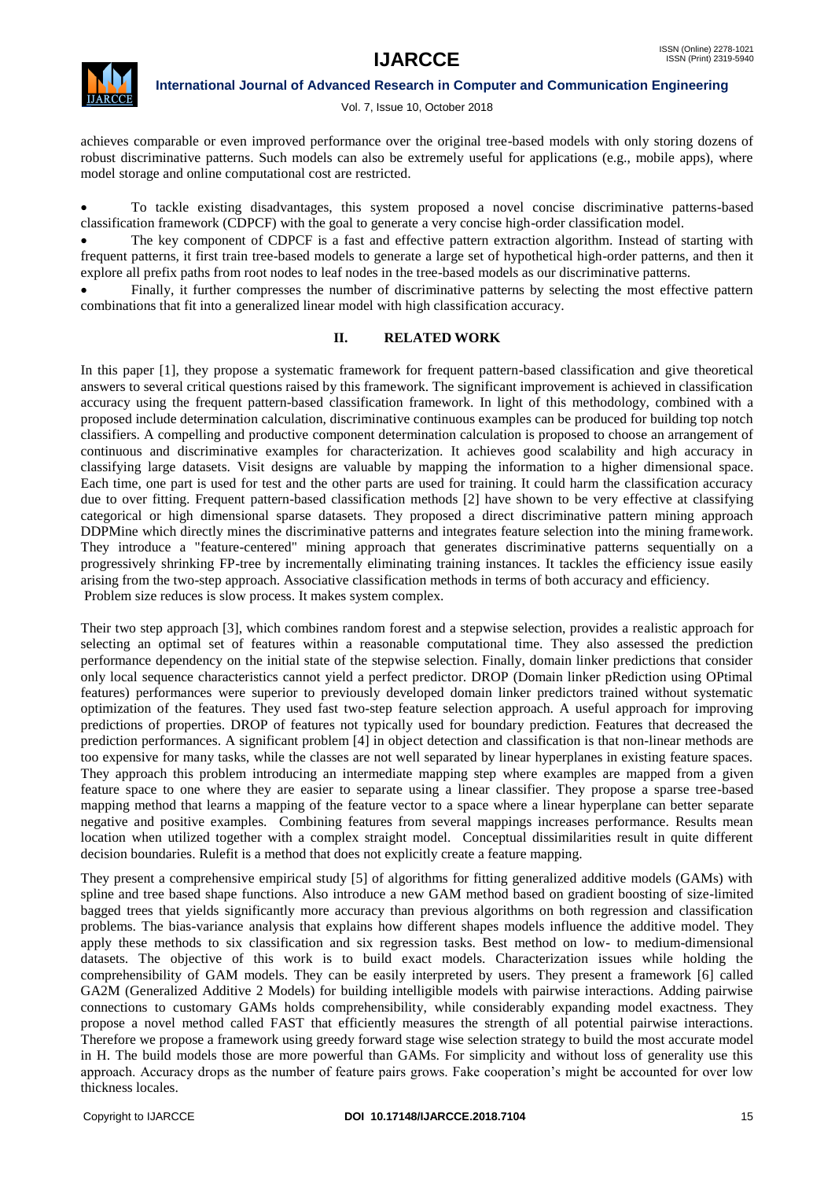

Vol. 7, Issue 10, October 2018

achieves comparable or even improved performance over the original tree-based models with only storing dozens of robust discriminative patterns. Such models can also be extremely useful for applications (e.g., mobile apps), where model storage and online computational cost are restricted.

 To tackle existing disadvantages, this system proposed a novel concise discriminative patterns-based classification framework (CDPCF) with the goal to generate a very concise high-order classification model.

 The key component of CDPCF is a fast and effective pattern extraction algorithm. Instead of starting with frequent patterns, it first train tree-based models to generate a large set of hypothetical high-order patterns, and then it explore all prefix paths from root nodes to leaf nodes in the tree-based models as our discriminative patterns.

 Finally, it further compresses the number of discriminative patterns by selecting the most effective pattern combinations that fit into a generalized linear model with high classification accuracy.

### **II. RELATED WORK**

In this paper [1], they propose a systematic framework for frequent pattern-based classification and give theoretical answers to several critical questions raised by this framework. The significant improvement is achieved in classification accuracy using the frequent pattern-based classification framework. In light of this methodology, combined with a proposed include determination calculation, discriminative continuous examples can be produced for building top notch classifiers. A compelling and productive component determination calculation is proposed to choose an arrangement of continuous and discriminative examples for characterization. It achieves good scalability and high accuracy in classifying large datasets. Visit designs are valuable by mapping the information to a higher dimensional space. Each time, one part is used for test and the other parts are used for training. It could harm the classification accuracy due to over fitting. Frequent pattern-based classification methods [2] have shown to be very effective at classifying categorical or high dimensional sparse datasets. They proposed a direct discriminative pattern mining approach DDPMine which directly mines the discriminative patterns and integrates feature selection into the mining framework. They introduce a "feature-centered" mining approach that generates discriminative patterns sequentially on a progressively shrinking FP-tree by incrementally eliminating training instances. It tackles the efficiency issue easily arising from the two-step approach. Associative classification methods in terms of both accuracy and efficiency. Problem size reduces is slow process. It makes system complex.

Their two step approach [3], which combines random forest and a stepwise selection, provides a realistic approach for selecting an optimal set of features within a reasonable computational time. They also assessed the prediction performance dependency on the initial state of the stepwise selection. Finally, domain linker predictions that consider only local sequence characteristics cannot yield a perfect predictor. DROP (Domain linker pRediction using OPtimal features) performances were superior to previously developed domain linker predictors trained without systematic optimization of the features. They used fast two-step feature selection approach. A useful approach for improving predictions of properties. DROP of features not typically used for boundary prediction. Features that decreased the prediction performances. A significant problem [4] in object detection and classification is that non-linear methods are too expensive for many tasks, while the classes are not well separated by linear hyperplanes in existing feature spaces. They approach this problem introducing an intermediate mapping step where examples are mapped from a given feature space to one where they are easier to separate using a linear classifier. They propose a sparse tree-based mapping method that learns a mapping of the feature vector to a space where a linear hyperplane can better separate negative and positive examples. Combining features from several mappings increases performance. Results mean location when utilized together with a complex straight model. Conceptual dissimilarities result in quite different decision boundaries. Rulefit is a method that does not explicitly create a feature mapping.

They present a comprehensive empirical study [5] of algorithms for fitting generalized additive models (GAMs) with spline and tree based shape functions. Also introduce a new GAM method based on gradient boosting of size-limited bagged trees that yields significantly more accuracy than previous algorithms on both regression and classification problems. The bias-variance analysis that explains how different shapes models influence the additive model. They apply these methods to six classification and six regression tasks. Best method on low- to medium-dimensional datasets. The objective of this work is to build exact models. Characterization issues while holding the comprehensibility of GAM models. They can be easily interpreted by users. They present a framework [6] called GA2M (Generalized Additive 2 Models) for building intelligible models with pairwise interactions. Adding pairwise connections to customary GAMs holds comprehensibility, while considerably expanding model exactness. They propose a novel method called FAST that efficiently measures the strength of all potential pairwise interactions. Therefore we propose a framework using greedy forward stage wise selection strategy to build the most accurate model in H. The build models those are more powerful than GAMs. For simplicity and without loss of generality use this approach. Accuracy drops as the number of feature pairs grows. Fake cooperation's might be accounted for over low thickness locales.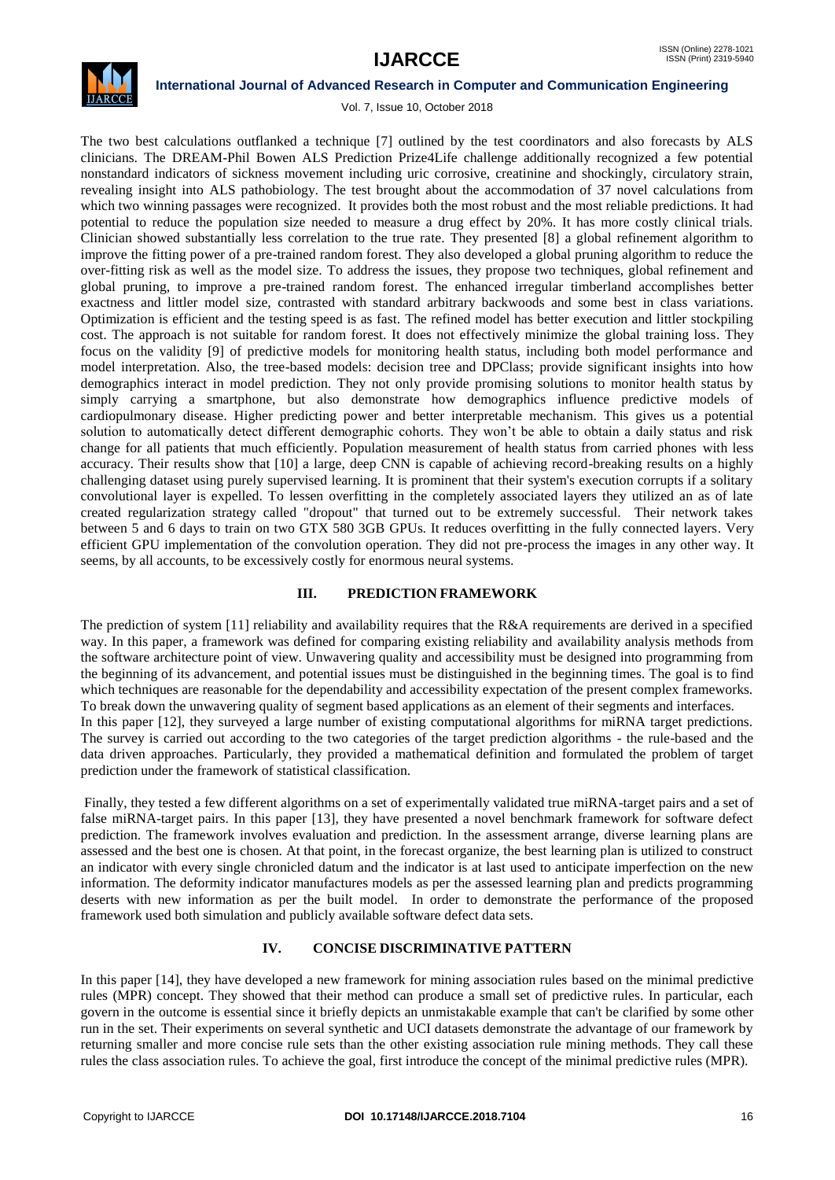

Vol. 7, Issue 10, October 2018

The two best calculations outflanked a technique [7] outlined by the test coordinators and also forecasts by ALS clinicians. The DREAM-Phil Bowen ALS Prediction Prize4Life challenge additionally recognized a few potential nonstandard indicators of sickness movement including uric corrosive, creatinine and shockingly, circulatory strain, revealing insight into ALS pathobiology. The test brought about the accommodation of 37 novel calculations from which two winning passages were recognized. It provides both the most robust and the most reliable predictions. It had potential to reduce the population size needed to measure a drug effect by 20%. It has more costly clinical trials. Clinician showed substantially less correlation to the true rate. They presented [8] a global refinement algorithm to improve the fitting power of a pre-trained random forest. They also developed a global pruning algorithm to reduce the over-fitting risk as well as the model size. To address the issues, they propose two techniques, global refinement and global pruning, to improve a pre-trained random forest. The enhanced irregular timberland accomplishes better exactness and littler model size, contrasted with standard arbitrary backwoods and some best in class variations. Optimization is efficient and the testing speed is as fast. The refined model has better execution and littler stockpiling cost. The approach is not suitable for random forest. It does not effectively minimize the global training loss. They focus on the validity [9] of predictive models for monitoring health status, including both model performance and model interpretation. Also, the tree-based models: decision tree and DPClass; provide significant insights into how demographics interact in model prediction. They not only provide promising solutions to monitor health status by simply carrying a smartphone, but also demonstrate how demographics influence predictive models of cardiopulmonary disease. Higher predicting power and better interpretable mechanism. This gives us a potential solution to automatically detect different demographic cohorts. They won't be able to obtain a daily status and risk change for all patients that much efficiently. Population measurement of health status from carried phones with less accuracy. Their results show that [10] a large, deep CNN is capable of achieving record-breaking results on a highly challenging dataset using purely supervised learning. It is prominent that their system's execution corrupts if a solitary convolutional layer is expelled. To lessen overfitting in the completely associated layers they utilized an as of late created regularization strategy called "dropout" that turned out to be extremely successful. Their network takes between 5 and 6 days to train on two GTX 580 3GB GPUs. It reduces overfitting in the fully connected layers. Very efficient GPU implementation of the convolution operation. They did not pre-process the images in any other way. It seems, by all accounts, to be excessively costly for enormous neural systems.

### **III. PREDICTION FRAMEWORK**

The prediction of system [11] reliability and availability requires that the R&A requirements are derived in a specified way. In this paper, a framework was defined for comparing existing reliability and availability analysis methods from the software architecture point of view. Unwavering quality and accessibility must be designed into programming from the beginning of its advancement, and potential issues must be distinguished in the beginning times. The goal is to find which techniques are reasonable for the dependability and accessibility expectation of the present complex frameworks. To break down the unwavering quality of segment based applications as an element of their segments and interfaces. In this paper [12], they surveyed a large number of existing computational algorithms for miRNA target predictions.

The survey is carried out according to the two categories of the target prediction algorithms - the rule-based and the data driven approaches. Particularly, they provided a mathematical definition and formulated the problem of target prediction under the framework of statistical classification.

Finally, they tested a few different algorithms on a set of experimentally validated true miRNA-target pairs and a set of false miRNA-target pairs. In this paper [13], they have presented a novel benchmark framework for software defect prediction. The framework involves evaluation and prediction. In the assessment arrange, diverse learning plans are assessed and the best one is chosen. At that point, in the forecast organize, the best learning plan is utilized to construct an indicator with every single chronicled datum and the indicator is at last used to anticipate imperfection on the new information. The deformity indicator manufactures models as per the assessed learning plan and predicts programming deserts with new information as per the built model. In order to demonstrate the performance of the proposed framework used both simulation and publicly available software defect data sets.

## **IV. CONCISE DISCRIMINATIVE PATTERN**

In this paper [14], they have developed a new framework for mining association rules based on the minimal predictive rules (MPR) concept. They showed that their method can produce a small set of predictive rules. In particular, each govern in the outcome is essential since it briefly depicts an unmistakable example that can't be clarified by some other run in the set. Their experiments on several synthetic and UCI datasets demonstrate the advantage of our framework by returning smaller and more concise rule sets than the other existing association rule mining methods. They call these rules the class association rules. To achieve the goal, first introduce the concept of the minimal predictive rules (MPR).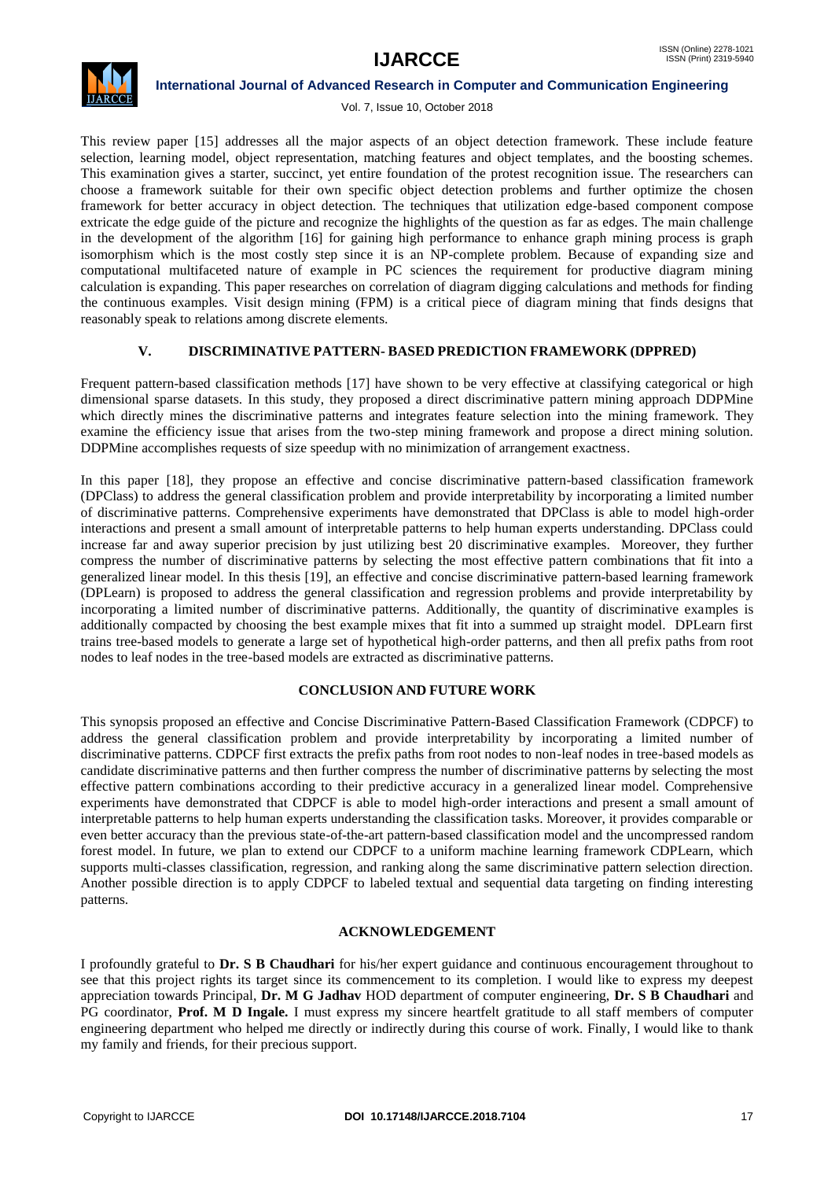

Vol. 7, Issue 10, October 2018

This review paper [15] addresses all the major aspects of an object detection framework. These include feature selection, learning model, object representation, matching features and object templates, and the boosting schemes. This examination gives a starter, succinct, yet entire foundation of the protest recognition issue. The researchers can choose a framework suitable for their own specific object detection problems and further optimize the chosen framework for better accuracy in object detection. The techniques that utilization edge-based component compose extricate the edge guide of the picture and recognize the highlights of the question as far as edges. The main challenge in the development of the algorithm [16] for gaining high performance to enhance graph mining process is graph isomorphism which is the most costly step since it is an NP-complete problem. Because of expanding size and computational multifaceted nature of example in PC sciences the requirement for productive diagram mining calculation is expanding. This paper researches on correlation of diagram digging calculations and methods for finding the continuous examples. Visit design mining (FPM) is a critical piece of diagram mining that finds designs that reasonably speak to relations among discrete elements.

# **V. DISCRIMINATIVE PATTERN- BASED PREDICTION FRAMEWORK (DPPRED)**

Frequent pattern-based classification methods [17] have shown to be very effective at classifying categorical or high dimensional sparse datasets. In this study, they proposed a direct discriminative pattern mining approach DDPMine which directly mines the discriminative patterns and integrates feature selection into the mining framework. They examine the efficiency issue that arises from the two-step mining framework and propose a direct mining solution. DDPMine accomplishes requests of size speedup with no minimization of arrangement exactness.

In this paper [18], they propose an effective and concise discriminative pattern-based classification framework (DPClass) to address the general classification problem and provide interpretability by incorporating a limited number of discriminative patterns. Comprehensive experiments have demonstrated that DPClass is able to model high-order interactions and present a small amount of interpretable patterns to help human experts understanding. DPClass could increase far and away superior precision by just utilizing best 20 discriminative examples. Moreover, they further compress the number of discriminative patterns by selecting the most effective pattern combinations that fit into a generalized linear model. In this thesis [19], an effective and concise discriminative pattern-based learning framework (DPLearn) is proposed to address the general classification and regression problems and provide interpretability by incorporating a limited number of discriminative patterns. Additionally, the quantity of discriminative examples is additionally compacted by choosing the best example mixes that fit into a summed up straight model. DPLearn first trains tree-based models to generate a large set of hypothetical high-order patterns, and then all prefix paths from root nodes to leaf nodes in the tree-based models are extracted as discriminative patterns.

### **CONCLUSION AND FUTURE WORK**

This synopsis proposed an effective and Concise Discriminative Pattern-Based Classification Framework (CDPCF) to address the general classification problem and provide interpretability by incorporating a limited number of discriminative patterns. CDPCF first extracts the prefix paths from root nodes to non-leaf nodes in tree-based models as candidate discriminative patterns and then further compress the number of discriminative patterns by selecting the most effective pattern combinations according to their predictive accuracy in a generalized linear model. Comprehensive experiments have demonstrated that CDPCF is able to model high-order interactions and present a small amount of interpretable patterns to help human experts understanding the classification tasks. Moreover, it provides comparable or even better accuracy than the previous state-of-the-art pattern-based classification model and the uncompressed random forest model. In future, we plan to extend our CDPCF to a uniform machine learning framework CDPLearn, which supports multi-classes classification, regression, and ranking along the same discriminative pattern selection direction. Another possible direction is to apply CDPCF to labeled textual and sequential data targeting on finding interesting patterns.

### **ACKNOWLEDGEMENT**

I profoundly grateful to **Dr. S B Chaudhari** for his/her expert guidance and continuous encouragement throughout to see that this project rights its target since its commencement to its completion. I would like to express my deepest appreciation towards Principal, **Dr. M G Jadhav** HOD department of computer engineering, **Dr. S B Chaudhari** and PG coordinator, **Prof. M D Ingale.** I must express my sincere heartfelt gratitude to all staff members of computer engineering department who helped me directly or indirectly during this course of work. Finally, I would like to thank my family and friends, for their precious support.